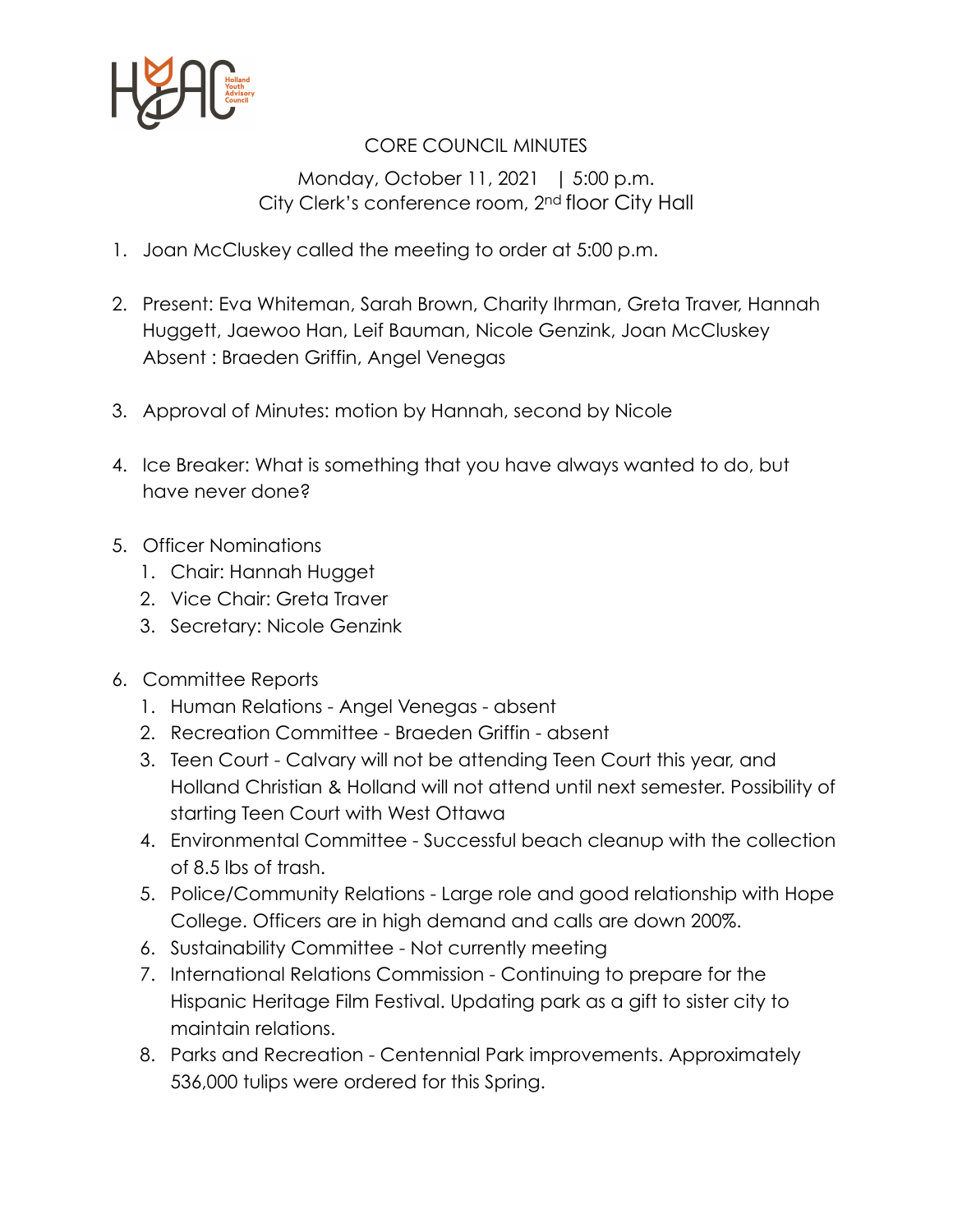

## CORE COUNCIL MINUTES

Monday, October 11, 2021 | 5:00 p.m. City Clerk's conference room, 2nd floor City Hall

- 1. Joan McCluskey called the meeting to order at 5:00 p.m.
- 2. Present: Eva Whiteman, Sarah Brown, Charity Ihrman, Greta Traver, Hannah Huggett, Jaewoo Han, Leif Bauman, Nicole Genzink, Joan McCluskey Absent : Braeden Griffin, Angel Venegas
- 3. Approval of Minutes: motion by Hannah, second by Nicole
- 4. Ice Breaker: What is something that you have always wanted to do, but have never done?
- 5. Officer Nominations
	- 1. Chair: Hannah Hugget
	- 2. Vice Chair: Greta Traver
	- 3. Secretary: Nicole Genzink
- 6. Committee Reports
	- 1. Human Relations Angel Venegas absent
	- 2. Recreation Committee Braeden Griffin absent
	- 3. Teen Court Calvary will not be attending Teen Court this year, and Holland Christian & Holland will not attend until next semester. Possibility of starting Teen Court with West Ottawa
	- 4. Environmental Committee Successful beach cleanup with the collection of 8.5 lbs of trash.
	- 5. Police/Community Relations Large role and good relationship with Hope College. Officers are in high demand and calls are down 200%.
	- 6. Sustainability Committee Not currently meeting
	- 7. International Relations Commission Continuing to prepare for the Hispanic Heritage Film Festival. Updating park as a gift to sister city to maintain relations.
	- 8. Parks and Recreation Centennial Park improvements. Approximately 536,000 tulips were ordered for this Spring.